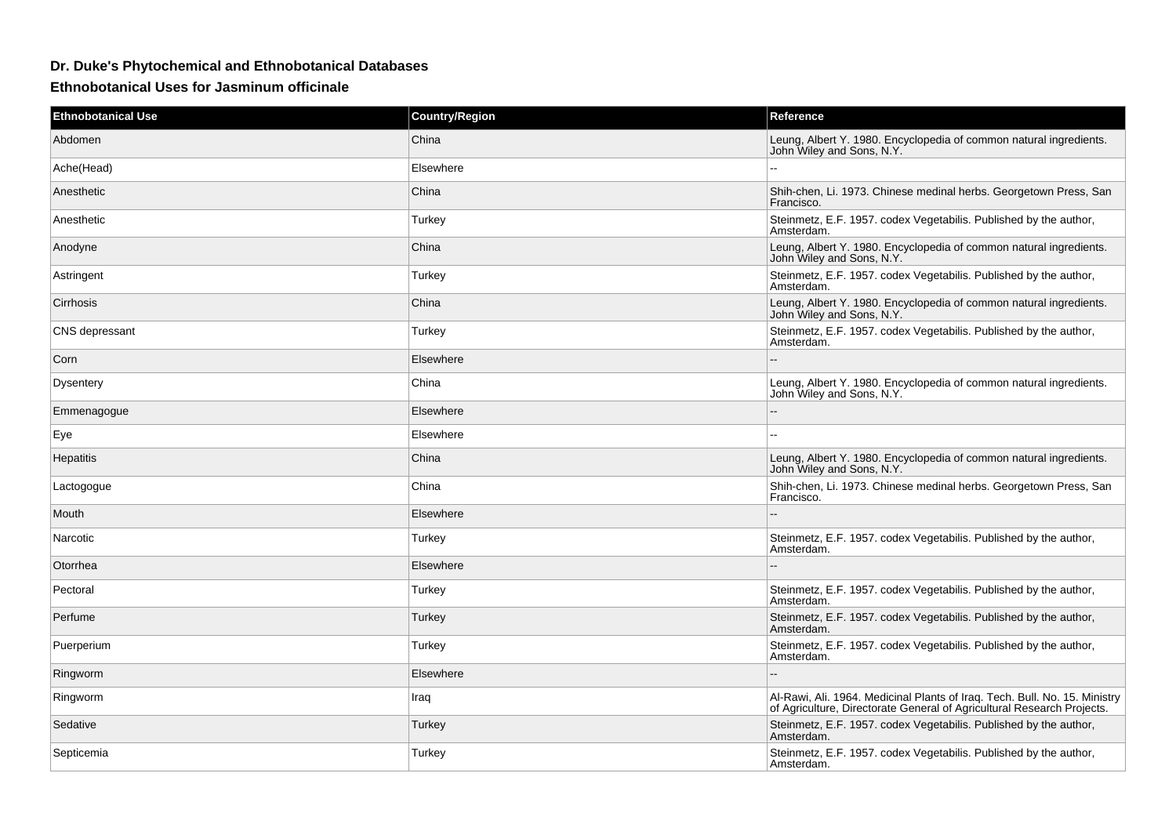## **Dr. Duke's Phytochemical and Ethnobotanical Databases**

**Ethnobotanical Uses for Jasminum officinale**

| <b>Ethnobotanical Use</b> | <b>Country/Region</b> | Reference                                                                                                                                            |
|---------------------------|-----------------------|------------------------------------------------------------------------------------------------------------------------------------------------------|
| Abdomen                   | China                 | Leung, Albert Y. 1980. Encyclopedia of common natural ingredients.<br>John Wiley and Sons, N.Y.                                                      |
| Ache(Head)                | Elsewhere             |                                                                                                                                                      |
| Anesthetic                | China                 | Shih-chen, Li. 1973. Chinese medinal herbs. Georgetown Press, San<br>Francisco.                                                                      |
| Anesthetic                | Turkey                | Steinmetz, E.F. 1957. codex Vegetabilis. Published by the author,<br>Amsterdam.                                                                      |
| Anodyne                   | China                 | Leung, Albert Y. 1980. Encyclopedia of common natural ingredients.<br>John Wiley and Sons, N.Y.                                                      |
| Astringent                | Turkey                | Steinmetz, E.F. 1957. codex Vegetabilis. Published by the author,<br>Amsterdam.                                                                      |
| Cirrhosis                 | China                 | Leung, Albert Y. 1980. Encyclopedia of common natural ingredients.<br>John Wiley and Sons, N.Y.                                                      |
| CNS depressant            | Turkey                | Steinmetz, E.F. 1957. codex Vegetabilis. Published by the author,<br>Amsterdam.                                                                      |
| Corn                      | Elsewhere             | --                                                                                                                                                   |
| Dysentery                 | China                 | Leung, Albert Y. 1980. Encyclopedia of common natural ingredients.<br>John Wiley and Sons, N.Y.                                                      |
| Emmenagogue               | Elsewhere             | $-$                                                                                                                                                  |
| Eye                       | Elsewhere             |                                                                                                                                                      |
| <b>Hepatitis</b>          | China                 | Leung, Albert Y. 1980. Encyclopedia of common natural ingredients.<br>John Wiley and Sons, N.Y.                                                      |
| Lactogogue                | China                 | Shih-chen, Li. 1973. Chinese medinal herbs. Georgetown Press, San<br>Francisco.                                                                      |
| Mouth                     | Elsewhere             |                                                                                                                                                      |
| Narcotic                  | Turkey                | Steinmetz, E.F. 1957. codex Vegetabilis. Published by the author,<br>Amsterdam.                                                                      |
| Otorrhea                  | Elsewhere             |                                                                                                                                                      |
| Pectoral                  | Turkey                | Steinmetz, E.F. 1957. codex Vegetabilis. Published by the author,<br>Amsterdam.                                                                      |
| Perfume                   | Turkey                | Steinmetz, E.F. 1957. codex Vegetabilis. Published by the author,<br>Amsterdam.                                                                      |
| Puerperium                | Turkey                | Steinmetz, E.F. 1957. codex Vegetabilis. Published by the author,<br>Amsterdam.                                                                      |
| Ringworm                  | Elsewhere             |                                                                                                                                                      |
| Ringworm                  | Iraq                  | Al-Rawi, Ali. 1964. Medicinal Plants of Iraq. Tech. Bull. No. 15. Ministry<br>of Agriculture, Directorate General of Agricultural Research Projects. |
| Sedative                  | Turkey                | Steinmetz, E.F. 1957. codex Vegetabilis. Published by the author,<br>Amsterdam.                                                                      |
| Septicemia                | Turkey                | Steinmetz, E.F. 1957. codex Vegetabilis. Published by the author,<br>Amsterdam.                                                                      |